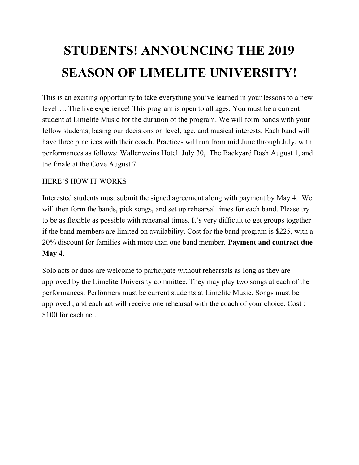## **STUDENTS! ANNOUNCING THE 2019 SEASON OF LIMELITE UNIVERSITY!**

This is an exciting opportunity to take everything you've learned in your lessons to a new level…. The live experience! This program is open to all ages. You must be a current student at Limelite Music for the duration of the program. We will form bands with your fellow students, basing our decisions on level, age, and musical interests. Each band will have three practices with their coach. Practices will run from mid June through July, with performances as follows: Wallenweins Hotel July 30, The Backyard Bash August 1, and the finale at the Cove August 7.

## HERE'S HOW IT WORKS

Interested students must submit the signed agreement along with payment by May 4. We will then form the bands, pick songs, and set up rehearsal times for each band. Please try to be as flexible as possible with rehearsal times. It's very difficult to get groups together if the band members are limited on availability. Cost for the band program is \$225, with a 20% discount for families with more than one band member. **Payment and contract due May 4.**

Solo acts or duos are welcome to participate without rehearsals as long as they are approved by the Limelite University committee. They may play two songs at each of the performances. Performers must be current students at Limelite Music. Songs must be approved , and each act will receive one rehearsal with the coach of your choice. Cost : \$100 for each act.